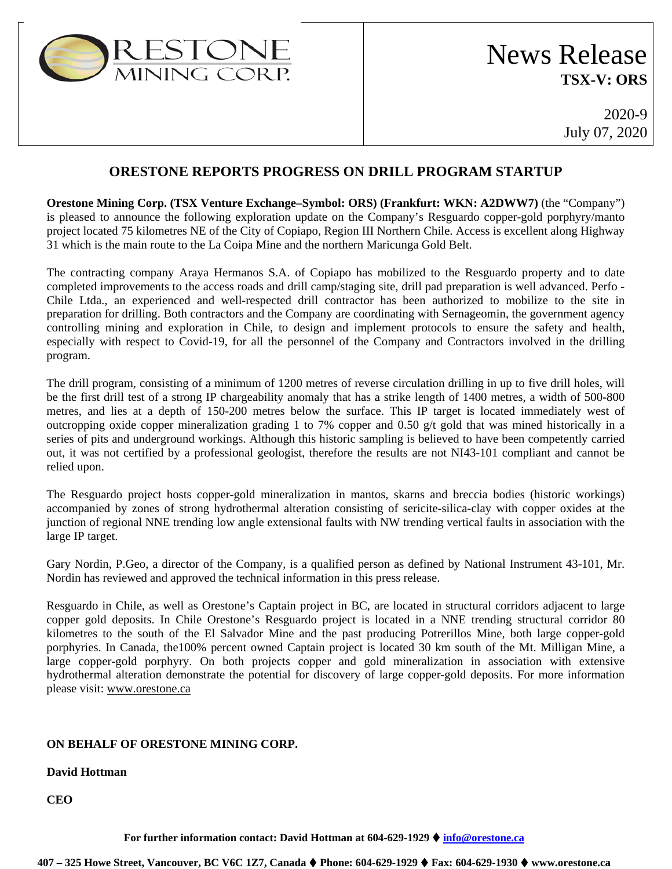

## **ORESTONE REPORTS PROGRESS ON DRILL PROGRAM STARTUP**

**Orestone Mining Corp. (TSX Venture Exchange–Symbol: ORS) (Frankfurt: WKN: A2DWW7)** (the "Company") is pleased to announce the following exploration update on the Company's Resguardo copper-gold porphyry/manto project located 75 kilometres NE of the City of Copiapo, Region III Northern Chile. Access is excellent along Highway 31 which is the main route to the La Coipa Mine and the northern Maricunga Gold Belt.

The contracting company Araya Hermanos S.A. of Copiapo has mobilized to the Resguardo property and to date completed improvements to the access roads and drill camp/staging site, drill pad preparation is well advanced. Perfo - Chile Ltda., an experienced and well-respected drill contractor has been authorized to mobilize to the site in preparation for drilling. Both contractors and the Company are coordinating with Sernageomin, the government agency controlling mining and exploration in Chile, to design and implement protocols to ensure the safety and health, especially with respect to Covid-19, for all the personnel of the Company and Contractors involved in the drilling program.

The drill program, consisting of a minimum of 1200 metres of reverse circulation drilling in up to five drill holes, will be the first drill test of a strong IP chargeability anomaly that has a strike length of 1400 metres, a width of 500-800 metres, and lies at a depth of 150-200 metres below the surface. This IP target is located immediately west of outcropping oxide copper mineralization grading 1 to 7% copper and 0.50 g/t gold that was mined historically in a series of pits and underground workings. Although this historic sampling is believed to have been competently carried out, it was not certified by a professional geologist, therefore the results are not NI43-101 compliant and cannot be relied upon.

The Resguardo project hosts copper-gold mineralization in mantos, skarns and breccia bodies (historic workings) accompanied by zones of strong hydrothermal alteration consisting of sericite-silica-clay with copper oxides at the junction of regional NNE trending low angle extensional faults with NW trending vertical faults in association with the large IP target.

Gary Nordin, P.Geo, a director of the Company, is a qualified person as defined by National Instrument 43-101, Mr. Nordin has reviewed and approved the technical information in this press release.

Resguardo in Chile, as well as Orestone's Captain project in BC, are located in structural corridors adjacent to large copper gold deposits. In Chile Orestone's Resguardo project is located in a NNE trending structural corridor 80 kilometres to the south of the El Salvador Mine and the past producing Potrerillos Mine, both large copper-gold porphyries. In Canada, the100% percent owned Captain project is located 30 km south of the Mt. Milligan Mine, a large copper-gold porphyry. On both projects copper and gold mineralization in association with extensive hydrothermal alteration demonstrate the potential for discovery of large copper-gold deposits. For more information please visit: [www.orestone.ca](http://www.orestone.ca/)

## **ON BEHALF OF ORESTONE MINING CORP.**

## **David Hottman**

**CEO**

**For further information contact: David Hottman at 604-629-1929 [info@orestone.ca](mailto:info@orestone.ca)**